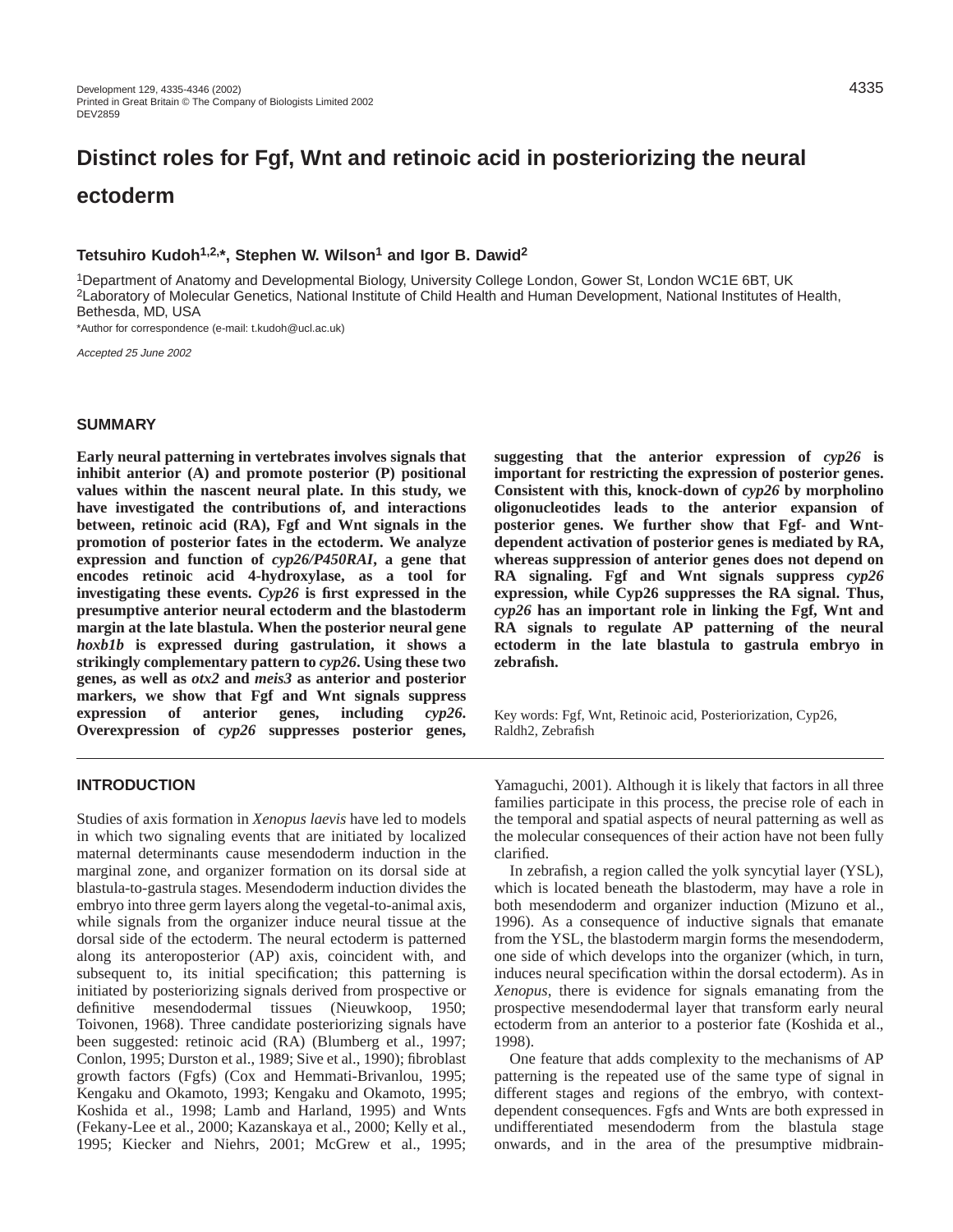# **Distinct roles for Fgf, Wnt and retinoic acid in posteriorizing the neural ectoderm**

## **Tetsuhiro Kudoh1,2,\*, Stephen W. Wilson1 and Igor B. Dawid2**

1Department of Anatomy and Developmental Biology, University College London, Gower St, London WC1E 6BT, UK 2Laboratory of Molecular Genetics, National Institute of Child Health and Human Development, National Institutes of Health, Bethesda, MD, USA

\*Author for correspondence (e-mail: t.kudoh@ucl.ac.uk)

Accepted 25 June 2002

## **SUMMARY**

**Early neural patterning in vertebrates involves signals that inhibit anterior (A) and promote posterior (P) positional values within the nascent neural plate. In this study, we have investigated the contributions of, and interactions between, retinoic acid (RA), Fgf and Wnt signals in the promotion of posterior fates in the ectoderm. We analyze expression and function of** *cyp26/P450RAI***, a gene that encodes retinoic acid 4-hydroxylase, as a tool for investigating these events.** *Cyp26* **is first expressed in the presumptive anterior neural ectoderm and the blastoderm margin at the late blastula. When the posterior neural gene** *hoxb1b* **is expressed during gastrulation, it shows a strikingly complementary pattern to** *cyp26***. Using these two genes, as well as** *otx2* **and** *meis3* **as anterior and posterior markers, we show that Fgf and Wnt signals suppress expression of anterior genes, including** *cyp26***. Overexpression of** *cyp26* **suppresses posterior genes,**

# **suggesting that the anterior expression of** *cyp26* **is important for restricting the expression of posterior genes. Consistent with this, knock-down of** *cyp26* **by morpholino oligonucleotides leads to the anterior expansion of posterior genes. We further show that Fgf- and Wntdependent activation of posterior genes is mediated by RA, whereas suppression of anterior genes does not depend on RA signaling. Fgf and Wnt signals suppress** *cyp26* **expression, while Cyp26 suppresses the RA signal. Thus,** *cyp26* **has an important role in linking the Fgf, Wnt and RA signals to regulate AP patterning of the neural ectoderm in the late blastula to gastrula embryo in zebrafish.**

Key words: Fgf, Wnt, Retinoic acid, Posteriorization, Cyp26, Raldh2, Zebrafish

## **INTRODUCTION**

Studies of axis formation in *Xenopus laevis* have led to models in which two signaling events that are initiated by localized maternal determinants cause mesendoderm induction in the marginal zone, and organizer formation on its dorsal side at blastula-to-gastrula stages. Mesendoderm induction divides the embryo into three germ layers along the vegetal-to-animal axis, while signals from the organizer induce neural tissue at the dorsal side of the ectoderm. The neural ectoderm is patterned along its anteroposterior (AP) axis, coincident with, and subsequent to, its initial specification; this patterning is initiated by posteriorizing signals derived from prospective or definitive mesendodermal tissues (Nieuwkoop, 1950; Toivonen, 1968). Three candidate posteriorizing signals have been suggested: retinoic acid (RA) (Blumberg et al., 1997; Conlon, 1995; Durston et al., 1989; Sive et al., 1990); fibroblast growth factors (Fgfs) (Cox and Hemmati-Brivanlou, 1995; Kengaku and Okamoto, 1993; Kengaku and Okamoto, 1995; Koshida et al., 1998; Lamb and Harland, 1995) and Wnts (Fekany-Lee et al., 2000; Kazanskaya et al., 2000; Kelly et al., 1995; Kiecker and Niehrs, 2001; McGrew et al., 1995;

Yamaguchi, 2001). Although it is likely that factors in all three families participate in this process, the precise role of each in the temporal and spatial aspects of neural patterning as well as the molecular consequences of their action have not been fully clarified.

In zebrafish, a region called the yolk syncytial layer (YSL), which is located beneath the blastoderm, may have a role in both mesendoderm and organizer induction (Mizuno et al., 1996). As a consequence of inductive signals that emanate from the YSL, the blastoderm margin forms the mesendoderm, one side of which develops into the organizer (which, in turn, induces neural specification within the dorsal ectoderm). As in *Xenopus*, there is evidence for signals emanating from the prospective mesendodermal layer that transform early neural ectoderm from an anterior to a posterior fate (Koshida et al., 1998).

One feature that adds complexity to the mechanisms of AP patterning is the repeated use of the same type of signal in different stages and regions of the embryo, with contextdependent consequences. Fgfs and Wnts are both expressed in undifferentiated mesendoderm from the blastula stage onwards, and in the area of the presumptive midbrain-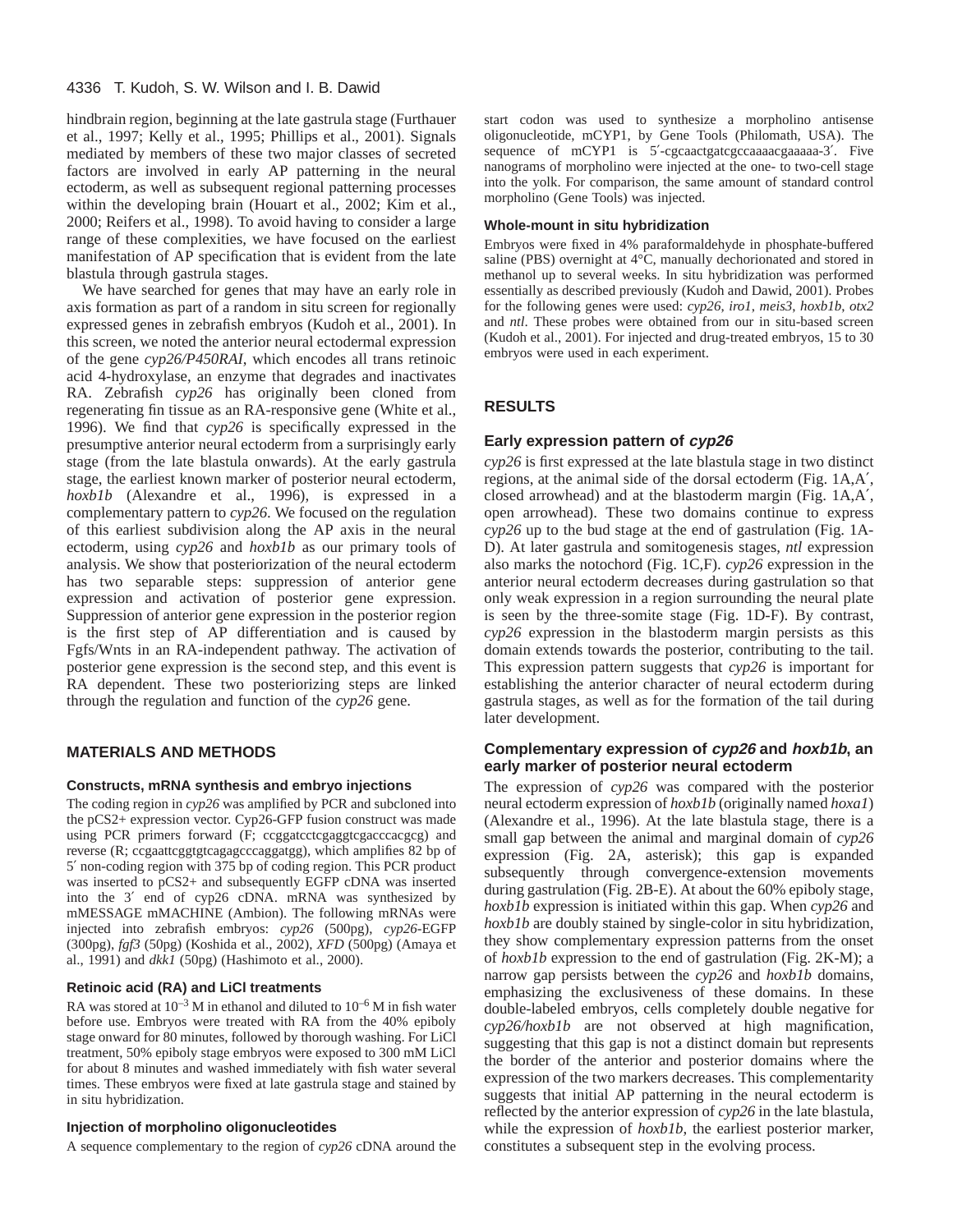hindbrain region, beginning at the late gastrula stage (Furthauer et al., 1997; Kelly et al., 1995; Phillips et al., 2001). Signals mediated by members of these two major classes of secreted factors are involved in early AP patterning in the neural ectoderm, as well as subsequent regional patterning processes within the developing brain (Houart et al., 2002; Kim et al., 2000; Reifers et al., 1998). To avoid having to consider a large range of these complexities, we have focused on the earliest manifestation of AP specification that is evident from the late blastula through gastrula stages.

We have searched for genes that may have an early role in axis formation as part of a random in situ screen for regionally expressed genes in zebrafish embryos (Kudoh et al., 2001). In this screen, we noted the anterior neural ectodermal expression of the gene *cyp26/P450RAI*, which encodes all trans retinoic acid 4-hydroxylase, an enzyme that degrades and inactivates RA. Zebrafish *cyp26* has originally been cloned from regenerating fin tissue as an RA-responsive gene (White et al., 1996). We find that *cyp26* is specifically expressed in the presumptive anterior neural ectoderm from a surprisingly early stage (from the late blastula onwards). At the early gastrula stage, the earliest known marker of posterior neural ectoderm, *hoxb1b* (Alexandre et al., 1996), is expressed in a complementary pattern to *cyp26*. We focused on the regulation of this earliest subdivision along the AP axis in the neural ectoderm, using *cyp26* and *hoxb1b* as our primary tools of analysis. We show that posteriorization of the neural ectoderm has two separable steps: suppression of anterior gene expression and activation of posterior gene expression. Suppression of anterior gene expression in the posterior region is the first step of AP differentiation and is caused by Fgfs/Wnts in an RA-independent pathway. The activation of posterior gene expression is the second step, and this event is RA dependent. These two posteriorizing steps are linked through the regulation and function of the *cyp26* gene.

# **MATERIALS AND METHODS**

## **Constructs, mRNA synthesis and embryo injections**

The coding region in *cyp26* was amplified by PCR and subcloned into the pCS2+ expression vector. Cyp26-GFP fusion construct was made using PCR primers forward (F; ccggatcctcgaggtcgacccacgcg) and reverse (R; ccgaattcggtgtcagagcccaggatgg), which amplifies 82 bp of 5′ non-coding region with 375 bp of coding region. This PCR product was inserted to pCS2+ and subsequently EGFP cDNA was inserted into the 3′ end of cyp26 cDNA. mRNA was synthesized by mMESSAGE mMACHINE (Ambion). The following mRNAs were injected into zebrafish embryos: *cyp26* (500pg), *cyp26*-EGFP (300pg), *fgf3* (50pg) (Koshida et al., 2002), *XFD* (500pg) (Amaya et al., 1991) and *dkk1* (50pg) (Hashimoto et al., 2000).

# **Retinoic acid (RA) and LiCl treatments**

RA was stored at  $10^{-3}$  M in ethanol and diluted to  $10^{-6}$  M in fish water before use. Embryos were treated with RA from the 40% epiboly stage onward for 80 minutes, followed by thorough washing. For LiCl treatment, 50% epiboly stage embryos were exposed to 300 mM LiCl for about 8 minutes and washed immediately with fish water several times. These embryos were fixed at late gastrula stage and stained by in situ hybridization.

## **Injection of morpholino oligonucleotides**

A sequence complementary to the region of *cyp26* cDNA around the

start codon was used to synthesize a morpholino antisense oligonucleotide, mCYP1, by Gene Tools (Philomath, USA). The sequence of mCYP1 is 5'-cgcaactgatcgccaaaacgaaaaa-3'. Five nanograms of morpholino were injected at the one- to two-cell stage into the yolk. For comparison, the same amount of standard control morpholino (Gene Tools) was injected.

#### **Whole-mount in situ hybridization**

Embryos were fixed in 4% paraformaldehyde in phosphate-buffered saline (PBS) overnight at 4°C, manually dechorionated and stored in methanol up to several weeks. In situ hybridization was performed essentially as described previously (Kudoh and Dawid, 2001). Probes for the following genes were used: *cyp26*, *iro1*, *meis3*, *hoxb1b*, *otx2* and *ntl*. These probes were obtained from our in situ-based screen (Kudoh et al., 2001). For injected and drug-treated embryos, 15 to 30 embryos were used in each experiment.

# **RESULTS**

# **Early expression pattern of cyp26**

*cyp26* is first expressed at the late blastula stage in two distinct regions, at the animal side of the dorsal ectoderm (Fig. 1A,A′, closed arrowhead) and at the blastoderm margin (Fig. 1A,A′, open arrowhead). These two domains continue to express *cyp26* up to the bud stage at the end of gastrulation (Fig. 1A-D). At later gastrula and somitogenesis stages, *ntl* expression also marks the notochord (Fig. 1C,F). *cyp26* expression in the anterior neural ectoderm decreases during gastrulation so that only weak expression in a region surrounding the neural plate is seen by the three-somite stage (Fig. 1D-F). By contrast, *cyp26* expression in the blastoderm margin persists as this domain extends towards the posterior, contributing to the tail. This expression pattern suggests that *cyp26* is important for establishing the anterior character of neural ectoderm during gastrula stages, as well as for the formation of the tail during later development.

## **Complementary expression of cyp26 and hoxb1b, an early marker of posterior neural ectoderm**

The expression of *cyp26* was compared with the posterior neural ectoderm expression of *hoxb1b* (originally named *hoxa1*) (Alexandre et al., 1996). At the late blastula stage, there is a small gap between the animal and marginal domain of *cyp26* expression (Fig. 2A, asterisk); this gap is expanded subsequently through convergence-extension movements during gastrulation (Fig. 2B-E). At about the 60% epiboly stage, *hoxb1b* expression is initiated within this gap. When *cyp26* and *hoxb1b* are doubly stained by single-color in situ hybridization, they show complementary expression patterns from the onset of *hoxb1b* expression to the end of gastrulation (Fig. 2K-M); a narrow gap persists between the *cyp26* and *hoxb1b* domains, emphasizing the exclusiveness of these domains. In these double-labeled embryos, cells completely double negative for *cyp26/hoxb1b* are not observed at high magnification, suggesting that this gap is not a distinct domain but represents the border of the anterior and posterior domains where the expression of the two markers decreases. This complementarity suggests that initial AP patterning in the neural ectoderm is reflected by the anterior expression of *cyp26* in the late blastula, while the expression of *hoxb1b*, the earliest posterior marker, constitutes a subsequent step in the evolving process.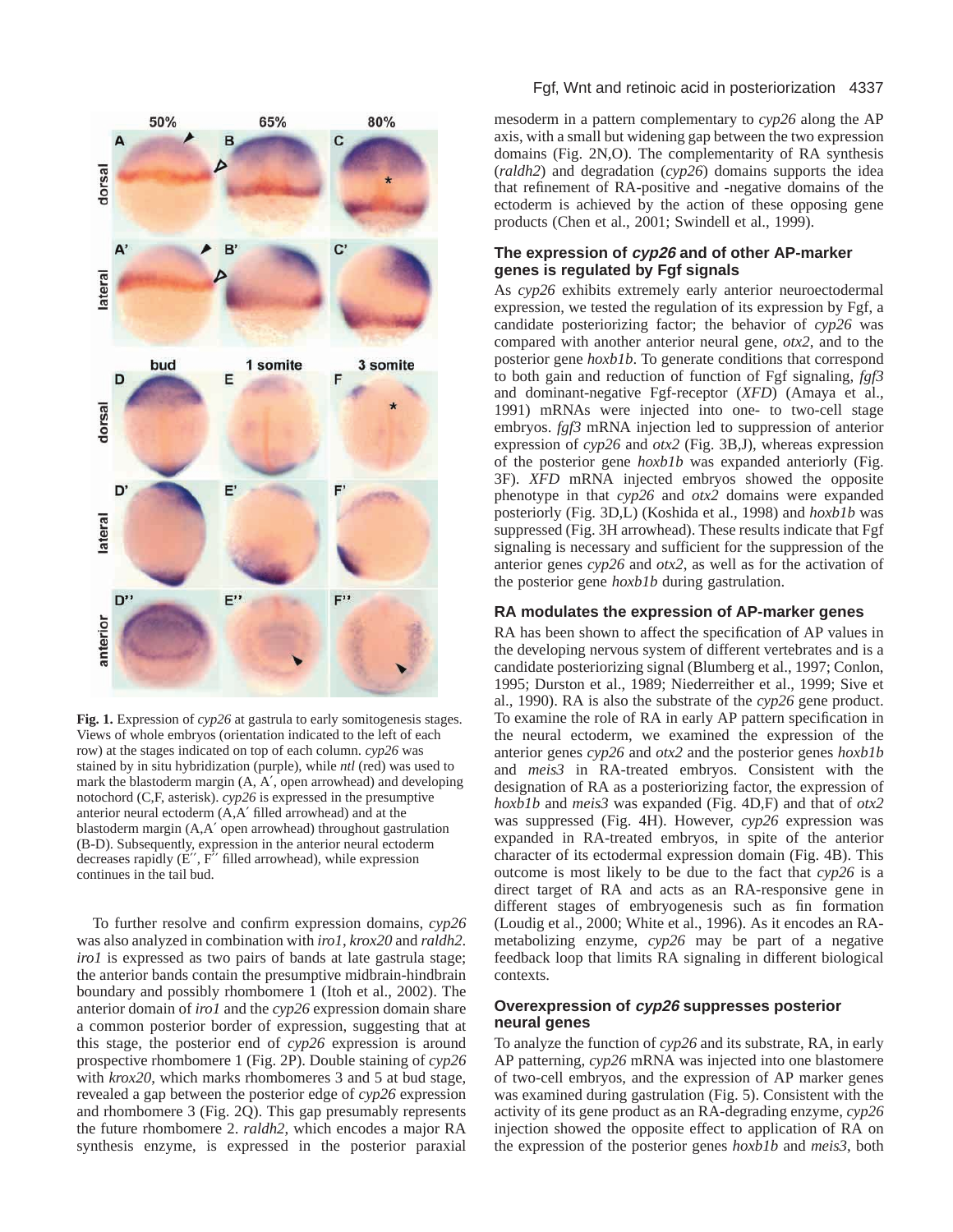

**Fig. 1.** Expression of *cyp26* at gastrula to early somitogenesis stages. Views of whole embryos (orientation indicated to the left of each row) at the stages indicated on top of each column. *cyp26* was stained by in situ hybridization (purple), while *ntl* (red) was used to mark the blastoderm margin (A, A′, open arrowhead) and developing notochord (C,F, asterisk). *cyp26* is expressed in the presumptive anterior neural ectoderm (A,A′ filled arrowhead) and at the blastoderm margin (A,A′ open arrowhead) throughout gastrulation (B-D). Subsequently, expression in the anterior neural ectoderm decreases rapidly (E", F" filled arrowhead), while expression continues in the tail bud.

To further resolve and confirm expression domains, *cyp26* was also analyzed in combination with *iro1*, *krox20* and *raldh2*. *iro1* is expressed as two pairs of bands at late gastrula stage; the anterior bands contain the presumptive midbrain-hindbrain boundary and possibly rhombomere 1 (Itoh et al., 2002). The anterior domain of *iro1* and the *cyp26* expression domain share a common posterior border of expression, suggesting that at this stage, the posterior end of *cyp26* expression is around prospective rhombomere 1 (Fig. 2P). Double staining of *cyp26* with *krox20*, which marks rhombomeres 3 and 5 at bud stage, revealed a gap between the posterior edge of *cyp26* expression and rhombomere 3 (Fig. 2Q). This gap presumably represents the future rhombomere 2. *raldh2*, which encodes a major RA synthesis enzyme, is expressed in the posterior paraxial

## Fgf, Wnt and retinoic acid in posteriorization 4337

mesoderm in a pattern complementary to *cyp26* along the AP axis, with a small but widening gap between the two expression domains (Fig. 2N,O). The complementarity of RA synthesis (*raldh2*) and degradation (*cyp26*) domains supports the idea that refinement of RA-positive and -negative domains of the ectoderm is achieved by the action of these opposing gene products (Chen et al., 2001; Swindell et al., 1999).

## **The expression of cyp26 and of other AP-marker genes is regulated by Fgf signals**

As *cyp26* exhibits extremely early anterior neuroectodermal expression, we tested the regulation of its expression by Fgf, a candidate posteriorizing factor; the behavior of *cyp26* was compared with another anterior neural gene, *otx2*, and to the posterior gene *hoxb1b*. To generate conditions that correspond to both gain and reduction of function of Fgf signaling, *fgf3* and dominant-negative Fgf-receptor (*XFD*) (Amaya et al., 1991) mRNAs were injected into one- to two-cell stage embryos. *fgf3* mRNA injection led to suppression of anterior expression of *cyp26* and *otx2* (Fig. 3B,J), whereas expression of the posterior gene *hoxb1b* was expanded anteriorly (Fig. 3F). *XFD* mRNA injected embryos showed the opposite phenotype in that *cyp26* and *otx2* domains were expanded posteriorly (Fig. 3D,L) (Koshida et al., 1998) and *hoxb1b* was suppressed (Fig. 3H arrowhead). These results indicate that Fgf signaling is necessary and sufficient for the suppression of the anterior genes *cyp26* and *otx2*, as well as for the activation of the posterior gene *hoxb1b* during gastrulation.

# **RA modulates the expression of AP-marker genes**

RA has been shown to affect the specification of AP values in the developing nervous system of different vertebrates and is a candidate posteriorizing signal (Blumberg et al., 1997; Conlon, 1995; Durston et al., 1989; Niederreither et al., 1999; Sive et al., 1990). RA is also the substrate of the *cyp26* gene product. To examine the role of RA in early AP pattern specification in the neural ectoderm, we examined the expression of the anterior genes *cyp26* and *otx2* and the posterior genes *hoxb1b* and *meis3* in RA-treated embryos. Consistent with the designation of RA as a posteriorizing factor, the expression of *hoxb1b* and *meis3* was expanded (Fig. 4D,F) and that of *otx2* was suppressed (Fig. 4H). However, *cyp26* expression was expanded in RA-treated embryos, in spite of the anterior character of its ectodermal expression domain (Fig. 4B). This outcome is most likely to be due to the fact that *cyp26* is a direct target of RA and acts as an RA-responsive gene in different stages of embryogenesis such as fin formation (Loudig et al., 2000; White et al., 1996). As it encodes an RAmetabolizing enzyme, *cyp26* may be part of a negative feedback loop that limits RA signaling in different biological contexts.

# **Overexpression of cyp26 suppresses posterior neural genes**

To analyze the function of *cyp26* and its substrate, RA, in early AP patterning, *cyp26* mRNA was injected into one blastomere of two-cell embryos, and the expression of AP marker genes was examined during gastrulation (Fig. 5). Consistent with the activity of its gene product as an RA-degrading enzyme, *cyp26* injection showed the opposite effect to application of RA on the expression of the posterior genes *hoxb1b* and *meis3*, both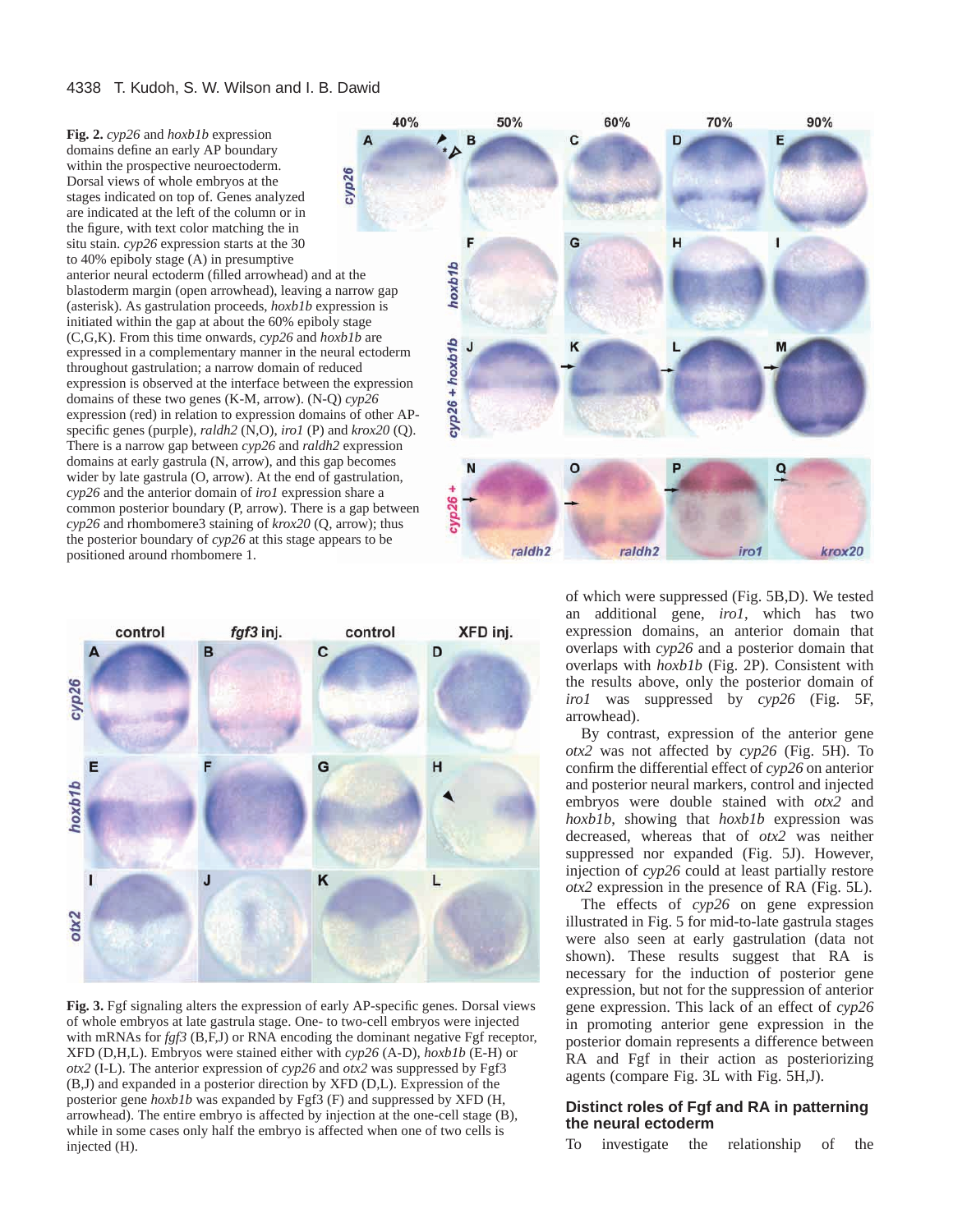**Fig. 2.** *cyp26* and *hoxb1b* expression A domains define an early AP boundary within the prospective neuroectoderm. cyp26 Dorsal views of whole embryos at the stages indicated on top of. Genes analyzed are indicated at the left of the column or in the figure, with text color matching the in situ stain. *cyp26* expression starts at the 30 to 40% epiboly stage (A) in presumptive anterior neural ectoderm (filled arrowhead) and at the blastoderm margin (open arrowhead), leaving a narrow gap (asterisk). As gastrulation proceeds, *hoxb1b* expression is initiated within the gap at about the 60% epiboly stage (C,G,K). From this time onwards, *cyp26* and *hoxb1b* are expressed in a complementary manner in the neural ectoderm throughout gastrulation; a narrow domain of reduced expression is observed at the interface between the expression domains of these two genes (K-M, arrow). (N-Q) *cyp26* expression (red) in relation to expression domains of other APspecific genes (purple), *raldh2* (N,O), *iro1* (P) and *krox20* (Q). There is a narrow gap between *cyp26* and *raldh2* expression domains at early gastrula (N, arrow), and this gap becomes wider by late gastrula (O, arrow). At the end of gastrulation, *cyp26* and the anterior domain of *iro1* expression share a common posterior boundary (P, arrow). There is a gap between *cyp26* and rhombomere3 staining of *krox20* (Q, arrow); thus the posterior boundary of *cyp26* at this stage appears to be positioned around rhombomere 1.



**Fig. 3.** Fgf signaling alters the expression of early AP-specific genes. Dorsal views of whole embryos at late gastrula stage. One- to two-cell embryos were injected with mRNAs for *fgf3* (B,F,J) or RNA encoding the dominant negative Fgf receptor, XFD (D,H,L). Embryos were stained either with *cyp26* (A-D), *hoxb1b* (E-H) or *otx2* (I-L). The anterior expression of *cyp26* and *otx2* was suppressed by Fgf3 (B,J) and expanded in a posterior direction by XFD (D,L). Expression of the posterior gene *hoxb1b* was expanded by Fgf3 (F) and suppressed by XFD (H, arrowhead). The entire embryo is affected by injection at the one-cell stage (B), while in some cases only half the embryo is affected when one of two cells is injected (H).



of which were suppressed (Fig. 5B,D). We tested an additional gene, *iro1*, which has two expression domains, an anterior domain that overlaps with *cyp26* and a posterior domain that overlaps with *hoxb1b* (Fig. 2P). Consistent with the results above, only the posterior domain of *iro1* was suppressed by *cyp26* (Fig. 5F, arrowhead).

By contrast, expression of the anterior gene *otx2* was not affected by *cyp26* (Fig. 5H). To confirm the differential effect of *cyp26* on anterior and posterior neural markers, control and injected embryos were double stained with *otx2* and *hoxb1b*, showing that *hoxb1b* expression was decreased, whereas that of *otx2* was neither suppressed nor expanded (Fig. 5J). However, injection of *cyp26* could at least partially restore *otx2* expression in the presence of RA (Fig. 5L).

The effects of *cyp26* on gene expression illustrated in Fig. 5 for mid-to-late gastrula stages were also seen at early gastrulation (data not shown). These results suggest that RA is necessary for the induction of posterior gene expression, but not for the suppression of anterior gene expression. This lack of an effect of *cyp26* in promoting anterior gene expression in the posterior domain represents a difference between RA and Fgf in their action as posteriorizing agents (compare Fig. 3L with Fig. 5H,J).

# **Distinct roles of Fgf and RA in patterning the neural ectoderm**

To investigate the relationship of the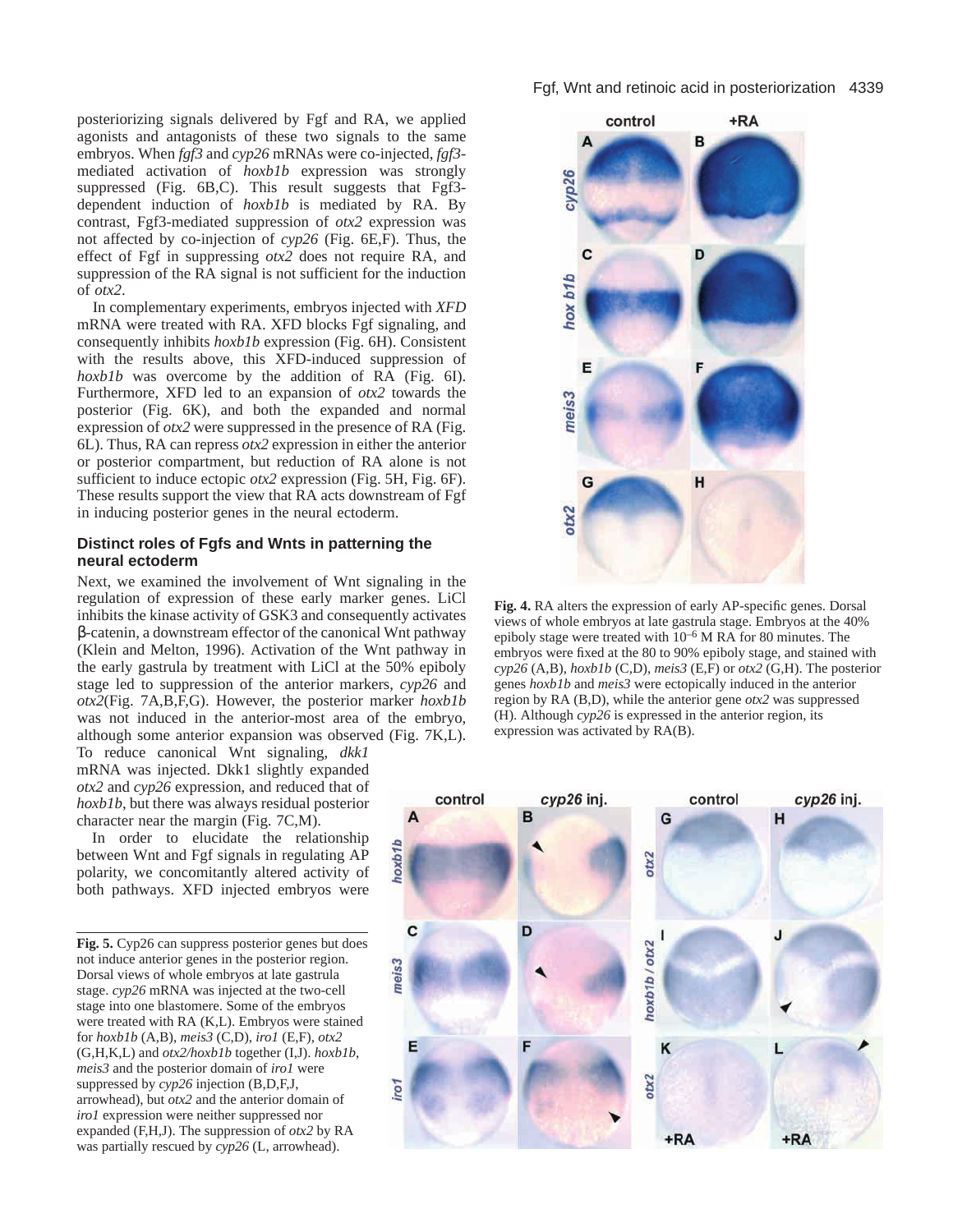posteriorizing signals delivered by Fgf and RA, we applied agonists and antagonists of these two signals to the same embryos. When *fgf3* and *cyp26* mRNAs were co-injected, *fgf3* mediated activation of *hoxb1b* expression was strongly suppressed (Fig. 6B,C). This result suggests that Fgf3 dependent induction of *hoxb1b* is mediated by RA. By contrast, Fgf3-mediated suppression of *otx2* expression was not affected by co-injection of *cyp26* (Fig. 6E,F). Thus, the effect of Fgf in suppressing *otx2* does not require RA, and suppression of the RA signal is not sufficient for the induction of *otx2*.

In complementary experiments, embryos injected with *XFD* mRNA were treated with RA. XFD blocks Fgf signaling, and consequently inhibits *hoxb1b* expression (Fig. 6H). Consistent with the results above, this XFD-induced suppression of *hoxb1b* was overcome by the addition of RA (Fig. 6I). Furthermore, XFD led to an expansion of *otx2* towards the posterior (Fig. 6K), and both the expanded and normal expression of *otx2* were suppressed in the presence of RA (Fig. 6L). Thus, RA can repress *otx2* expression in either the anterior or posterior compartment, but reduction of RA alone is not sufficient to induce ectopic *otx2* expression (Fig. 5H, Fig. 6F). These results support the view that RA acts downstream of Fgf in inducing posterior genes in the neural ectoderm.

# **Distinct roles of Fgfs and Wnts in patterning the neural ectoderm**

Next, we examined the involvement of Wnt signaling in the regulation of expression of these early marker genes. LiCl inhibits the kinase activity of GSK3 and consequently activates β-catenin, a downstream effector of the canonical Wnt pathway (Klein and Melton, 1996). Activation of the Wnt pathway in the early gastrula by treatment with LiCl at the 50% epiboly stage led to suppression of the anterior markers, *cyp26* and *otx2*(Fig. 7A,B,F,G). However, the posterior marker *hoxb1b* was not induced in the anterior-most area of the embryo, although some anterior expansion was observed (Fig. 7K,L).

To reduce canonical Wnt signaling, *dkk1* mRNA was injected. Dkk1 slightly expanded *otx2* and *cyp26* expression, and reduced that of *hoxb1b*, but there was always residual posterior character near the margin (Fig. 7C,M).

In order to elucidate the relationship between Wnt and Fgf signals in regulating AP polarity, we concomitantly altered activity of both pathways. XFD injected embryos were

**Fig. 5.** Cyp26 can suppress posterior genes but does not induce anterior genes in the posterior region. Dorsal views of whole embryos at late gastrula stage. *cyp26* mRNA was injected at the two-cell stage into one blastomere. Some of the embryos were treated with RA (K,L). Embryos were stained for *hoxb1b* (A,B), *meis3* (C,D), *iro1* (E,F), *otx2* (G,H,K,L) and *otx2/hoxb1b* together (I,J). *hoxb1b*, *meis3* and the posterior domain of *iro1* were suppressed by *cyp26* injection (B,D,F,J, arrowhead), but *otx2* and the anterior domain of *iro1* expression were neither suppressed nor expanded (F,H,J). The suppression of *otx2* by RA was partially rescued by *cyp26* (L, arrowhead).



**Fig. 4.** RA alters the expression of early AP-specific genes. Dorsal views of whole embryos at late gastrula stage. Embryos at the 40% epiboly stage were treated with  $10^{-6}$  M RA for 80 minutes. The embryos were fixed at the 80 to 90% epiboly stage, and stained with *cyp26* (A,B), *hoxb1b* (C,D), *meis3* (E,F) or *otx2* (G,H). The posterior genes *hoxb1b* and *meis3* were ectopically induced in the anterior region by RA (B,D), while the anterior gene *otx2* was suppressed (H). Although *cyp26* is expressed in the anterior region, its expression was activated by RA(B).

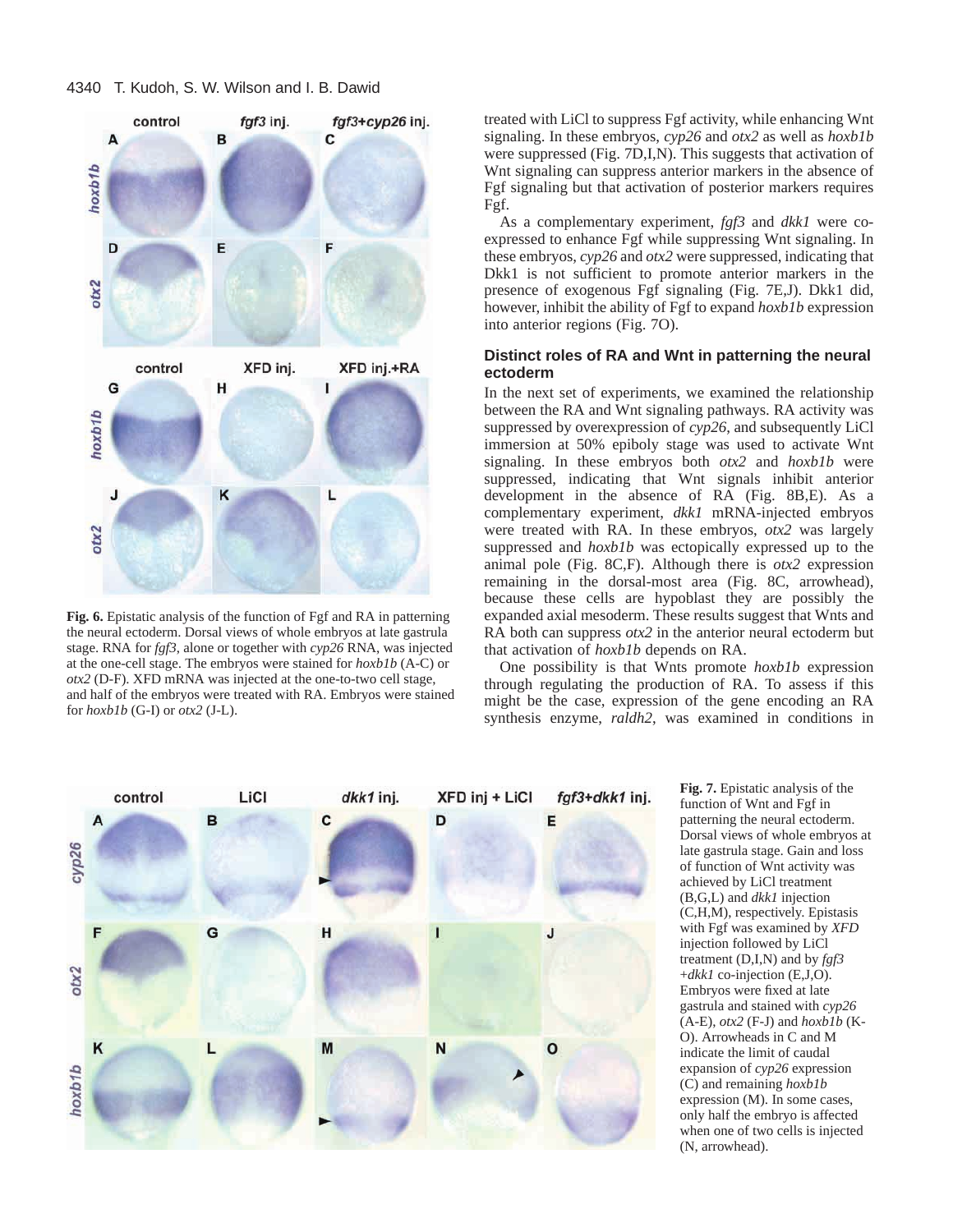

**Fig. 6.** Epistatic analysis of the function of Fgf and RA in patterning the neural ectoderm. Dorsal views of whole embryos at late gastrula stage. RNA for *fgf3*, alone or together with *cyp26* RNA, was injected at the one-cell stage. The embryos were stained for *hoxb1b* (A-C) or *otx2* (D-F). XFD mRNA was injected at the one-to-two cell stage, and half of the embryos were treated with RA. Embryos were stained for *hoxb1b* (G-I) or *otx2* (J-L).

treated with LiCl to suppress Fgf activity, while enhancing Wnt signaling. In these embryos, *cyp26* and *otx2* as well as *hoxb1b* were suppressed (Fig. 7D,I,N). This suggests that activation of Wnt signaling can suppress anterior markers in the absence of Fgf signaling but that activation of posterior markers requires Fgf.

As a complementary experiment, *fgf3* and *dkk1* were coexpressed to enhance Fgf while suppressing Wnt signaling. In these embryos, *cyp26* and *otx2* were suppressed, indicating that Dkk1 is not sufficient to promote anterior markers in the presence of exogenous Fgf signaling (Fig. 7E,J). Dkk1 did, however, inhibit the ability of Fgf to expand *hoxb1b* expression into anterior regions (Fig. 7O).

# **Distinct roles of RA and Wnt in patterning the neural ectoderm**

In the next set of experiments, we examined the relationship between the RA and Wnt signaling pathways. RA activity was suppressed by overexpression of *cyp26*, and subsequently LiCl immersion at 50% epiboly stage was used to activate Wnt signaling. In these embryos both *otx2* and *hoxb1b* were suppressed, indicating that Wnt signals inhibit anterior development in the absence of RA (Fig. 8B,E). As a complementary experiment, *dkk1* mRNA-injected embryos were treated with RA. In these embryos, *otx2* was largely suppressed and *hoxb1b* was ectopically expressed up to the animal pole (Fig. 8C,F). Although there is *otx2* expression remaining in the dorsal-most area (Fig. 8C, arrowhead), because these cells are hypoblast they are possibly the expanded axial mesoderm. These results suggest that Wnts and RA both can suppress *otx2* in the anterior neural ectoderm but that activation of *hoxb1b* depends on RA.

One possibility is that Wnts promote *hoxb1b* expression through regulating the production of RA. To assess if this might be the case, expression of the gene encoding an RA synthesis enzyme, *raldh2*, was examined in conditions in



**Fig. 7.** Epistatic analysis of the function of Wnt and Fgf in patterning the neural ectoderm. Dorsal views of whole embryos at late gastrula stage. Gain and loss of function of Wnt activity was achieved by LiCl treatment (B,G,L) and *dkk1* injection (C,H,M), respectively. Epistasis with Fgf was examined by *XFD* injection followed by LiCl treatment (D,I,N) and by *fgf3* +*dkk1* co-injection (E,J,O). Embryos were fixed at late gastrula and stained with *cyp26* (A-E), *otx2* (F-J) and *hoxb1b* (K-O). Arrowheads in C and M indicate the limit of caudal expansion of *cyp26* expression (C) and remaining *hoxb1b* expression (M). In some cases, only half the embryo is affected when one of two cells is injected (N, arrowhead).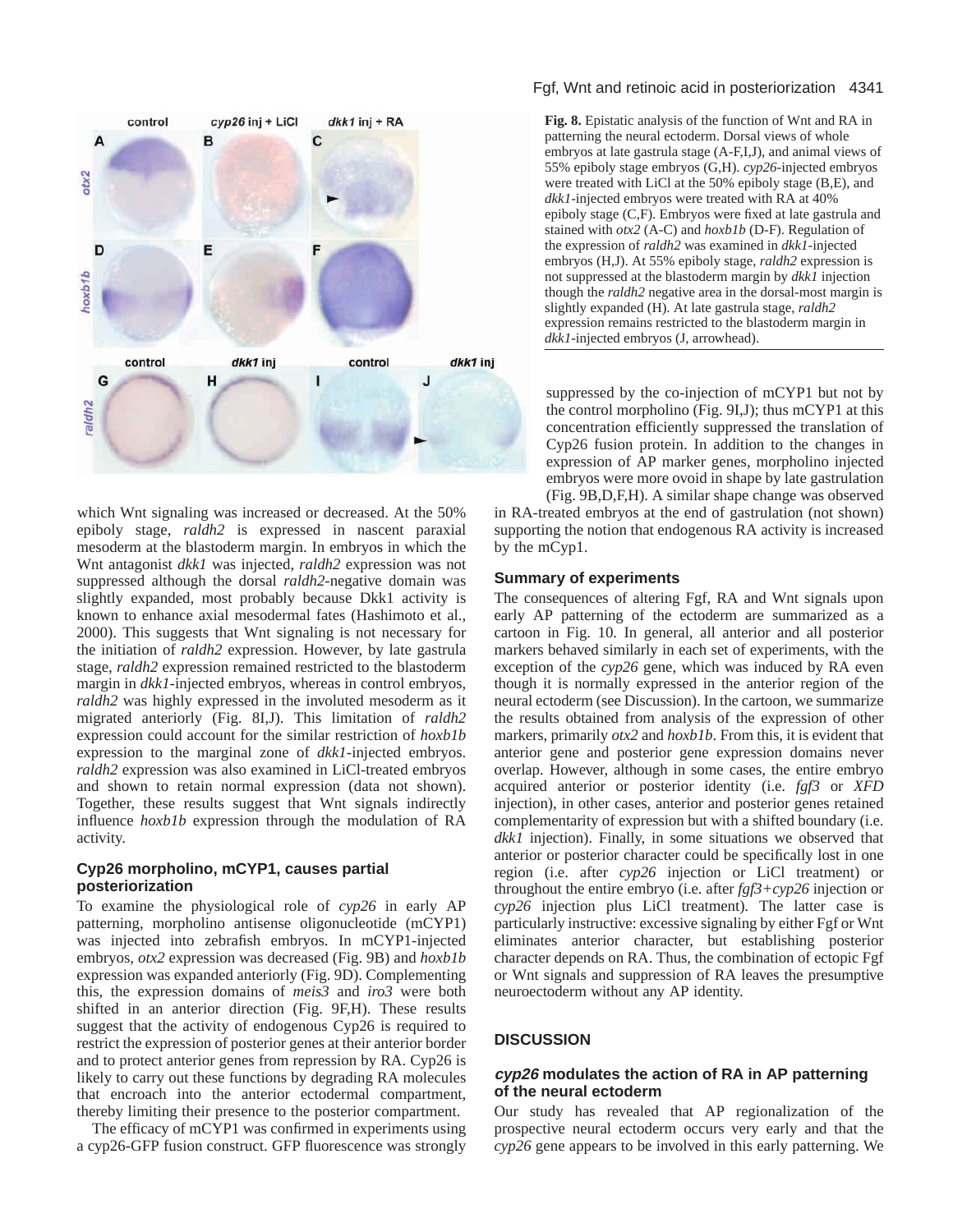

which Wnt signaling was increased or decreased. At the 50% epiboly stage, *raldh2* is expressed in nascent paraxial mesoderm at the blastoderm margin. In embryos in which the Wnt antagonist *dkk1* was injected, *raldh2* expression was not suppressed although the dorsal *raldh2*-negative domain was slightly expanded, most probably because Dkk1 activity is known to enhance axial mesodermal fates (Hashimoto et al., 2000). This suggests that Wnt signaling is not necessary for the initiation of *raldh2* expression. However, by late gastrula stage, *raldh2* expression remained restricted to the blastoderm margin in *dkk1*-injected embryos, whereas in control embryos, *raldh2* was highly expressed in the involuted mesoderm as it migrated anteriorly (Fig. 8I,J). This limitation of *raldh2* expression could account for the similar restriction of *hoxb1b* expression to the marginal zone of *dkk1*-injected embryos. *raldh2* expression was also examined in LiCl-treated embryos and shown to retain normal expression (data not shown). Together, these results suggest that Wnt signals indirectly influence *hoxb1b* expression through the modulation of RA activity.

# **Cyp26 morpholino, mCYP1, causes partial posteriorization**

To examine the physiological role of *cyp26* in early AP patterning, morpholino antisense oligonucleotide (mCYP1) was injected into zebrafish embryos. In mCYP1-injected embryos, *otx2* expression was decreased (Fig. 9B) and *hoxb1b* expression was expanded anteriorly (Fig. 9D). Complementing this, the expression domains of *meis3* and *iro3* were both shifted in an anterior direction (Fig. 9F,H). These results suggest that the activity of endogenous Cyp26 is required to restrict the expression of posterior genes at their anterior border and to protect anterior genes from repression by RA. Cyp26 is likely to carry out these functions by degrading RA molecules that encroach into the anterior ectodermal compartment, thereby limiting their presence to the posterior compartment.

The efficacy of mCYP1 was confirmed in experiments using a cyp26-GFP fusion construct. GFP fluorescence was strongly

# Fgf, Wnt and retinoic acid in posteriorization 4341

**Fig. 8.** Epistatic analysis of the function of Wnt and RA in patterning the neural ectoderm. Dorsal views of whole embryos at late gastrula stage (A-F,I,J), and animal views of 55% epiboly stage embryos (G,H). *cyp26*-injected embryos were treated with LiCl at the 50% epiboly stage (B,E), and *dkk1*-injected embryos were treated with RA at 40% epiboly stage (C,F). Embryos were fixed at late gastrula and stained with *otx2* (A-C) and *hoxb1b* (D-F). Regulation of the expression of *raldh2* was examined in *dkk1*-injected embryos (H,J). At 55% epiboly stage, *raldh2* expression is not suppressed at the blastoderm margin by *dkk1* injection though the *raldh2* negative area in the dorsal-most margin is slightly expanded (H). At late gastrula stage, *raldh2* expression remains restricted to the blastoderm margin in *dkk1*-injected embryos (J, arrowhead).

suppressed by the co-injection of mCYP1 but not by the control morpholino (Fig. 9I,J); thus mCYP1 at this concentration efficiently suppressed the translation of Cyp26 fusion protein. In addition to the changes in expression of AP marker genes, morpholino injected embryos were more ovoid in shape by late gastrulation

(Fig. 9B,D,F,H). A similar shape change was observed in RA-treated embryos at the end of gastrulation (not shown) supporting the notion that endogenous RA activity is increased by the mCyp1.

# **Summary of experiments**

The consequences of altering Fgf, RA and Wnt signals upon early AP patterning of the ectoderm are summarized as a cartoon in Fig. 10. In general, all anterior and all posterior markers behaved similarly in each set of experiments, with the exception of the *cyp26* gene, which was induced by RA even though it is normally expressed in the anterior region of the neural ectoderm (see Discussion). In the cartoon, we summarize the results obtained from analysis of the expression of other markers, primarily *otx2* and *hoxb1b*. From this, it is evident that anterior gene and posterior gene expression domains never overlap. However, although in some cases, the entire embryo acquired anterior or posterior identity (i.e. *fgf3* or *XFD* injection), in other cases, anterior and posterior genes retained complementarity of expression but with a shifted boundary (i.e. *dkk1* injection). Finally, in some situations we observed that anterior or posterior character could be specifically lost in one region (i.e. after *cyp26* injection or LiCl treatment) or throughout the entire embryo (i.e. after *fgf3+cyp26* injection or *cyp26* injection plus LiCl treatment). The latter case is particularly instructive: excessive signaling by either Fgf or Wnt eliminates anterior character, but establishing posterior character depends on RA. Thus, the combination of ectopic Fgf or Wnt signals and suppression of RA leaves the presumptive neuroectoderm without any AP identity.

# **DISCUSSION**

# **cyp26 modulates the action of RA in AP patterning of the neural ectoderm**

Our study has revealed that AP regionalization of the prospective neural ectoderm occurs very early and that the *cyp26* gene appears to be involved in this early patterning. We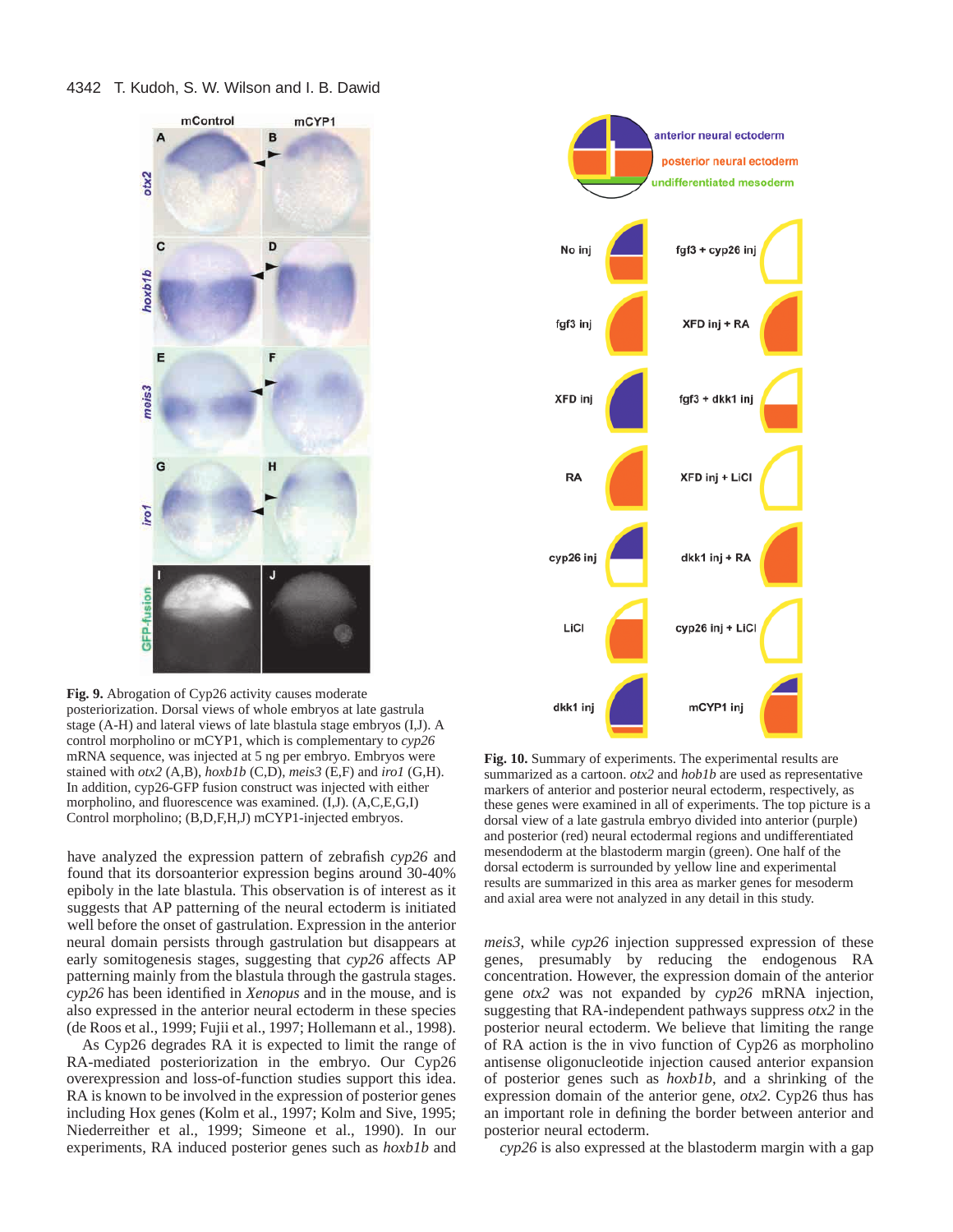

**Fig. 9.** Abrogation of Cyp26 activity causes moderate posteriorization. Dorsal views of whole embryos at late gastrula stage (A-H) and lateral views of late blastula stage embryos (I,J). A control morpholino or mCYP1, which is complementary to *cyp26* mRNA sequence, was injected at 5 ng per embryo. Embryos were stained with *otx2* (A,B), *hoxb1b* (C,D), *meis3* (E,F) and *iro1* (G,H). In addition, cyp26-GFP fusion construct was injected with either morpholino, and fluorescence was examined. (I,J). (A,C,E,G,I) Control morpholino; (B,D,F,H,J) mCYP1-injected embryos.

have analyzed the expression pattern of zebrafish *cyp26* and found that its dorsoanterior expression begins around 30-40% epiboly in the late blastula. This observation is of interest as it suggests that AP patterning of the neural ectoderm is initiated well before the onset of gastrulation. Expression in the anterior neural domain persists through gastrulation but disappears at early somitogenesis stages, suggesting that *cyp26* affects AP patterning mainly from the blastula through the gastrula stages. *cyp26* has been identified in *Xenopus* and in the mouse, and is also expressed in the anterior neural ectoderm in these species (de Roos et al., 1999; Fujii et al., 1997; Hollemann et al., 1998).

As Cyp26 degrades RA it is expected to limit the range of RA-mediated posteriorization in the embryo. Our Cyp26 overexpression and loss-of-function studies support this idea. RA is known to be involved in the expression of posterior genes including Hox genes (Kolm et al., 1997; Kolm and Sive, 1995; Niederreither et al., 1999; Simeone et al., 1990). In our experiments, RA induced posterior genes such as *hoxb1b* and



**Fig. 10.** Summary of experiments. The experimental results are summarized as a cartoon. *otx2* and *hob1b* are used as representative markers of anterior and posterior neural ectoderm, respectively, as these genes were examined in all of experiments. The top picture is a dorsal view of a late gastrula embryo divided into anterior (purple) and posterior (red) neural ectodermal regions and undifferentiated mesendoderm at the blastoderm margin (green). One half of the dorsal ectoderm is surrounded by yellow line and experimental results are summarized in this area as marker genes for mesoderm and axial area were not analyzed in any detail in this study.

*meis3*, while *cyp26* injection suppressed expression of these genes, presumably by reducing the endogenous RA concentration. However, the expression domain of the anterior gene *otx2* was not expanded by *cyp26* mRNA injection, suggesting that RA-independent pathways suppress *otx2* in the posterior neural ectoderm. We believe that limiting the range of RA action is the in vivo function of Cyp26 as morpholino antisense oligonucleotide injection caused anterior expansion of posterior genes such as *hoxb1b*, and a shrinking of the expression domain of the anterior gene, *otx2*. Cyp26 thus has an important role in defining the border between anterior and posterior neural ectoderm.

*cyp26* is also expressed at the blastoderm margin with a gap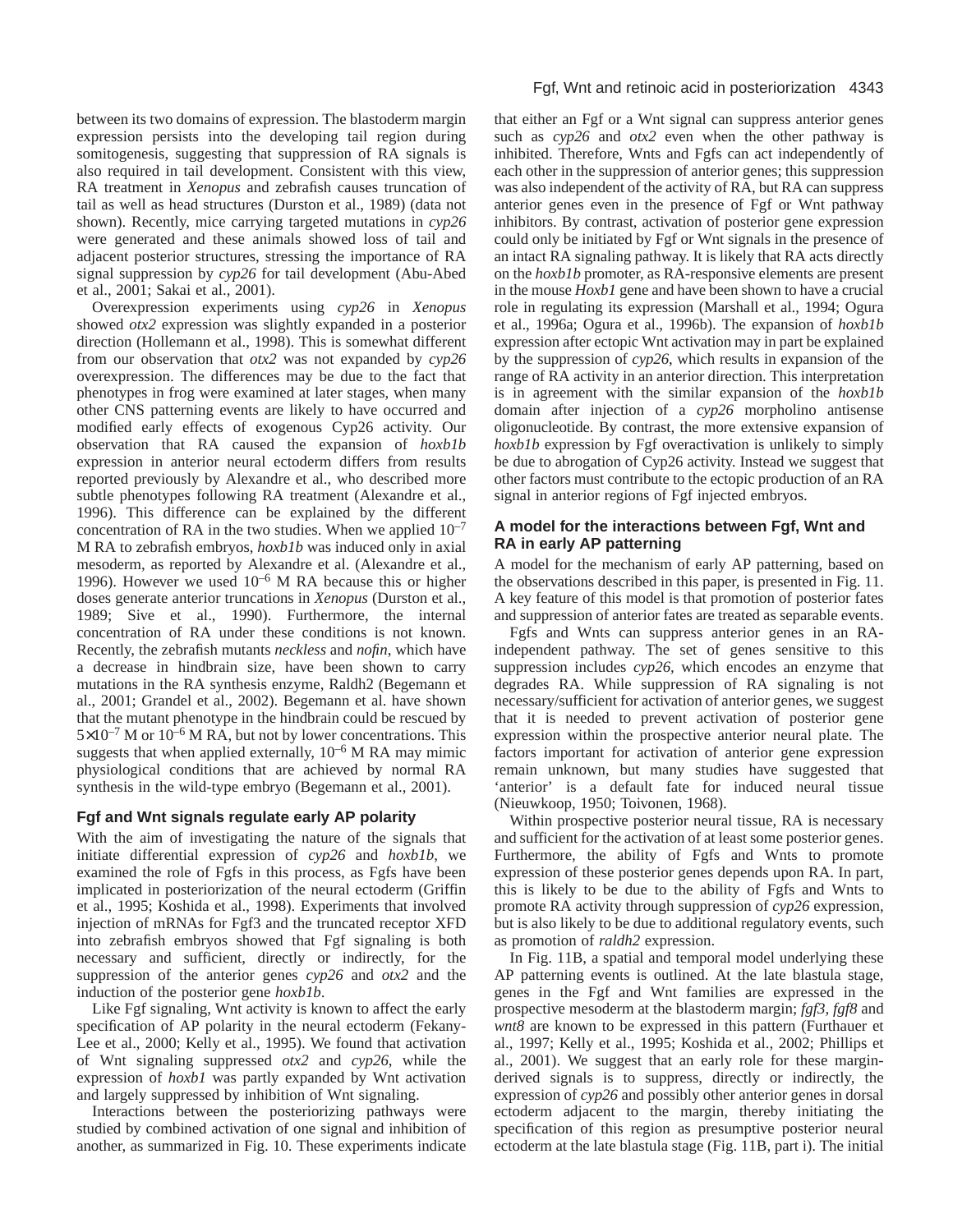between its two domains of expression. The blastoderm margin expression persists into the developing tail region during somitogenesis, suggesting that suppression of RA signals is also required in tail development. Consistent with this view, RA treatment in *Xenopus* and zebrafish causes truncation of tail as well as head structures (Durston et al., 1989) (data not shown). Recently, mice carrying targeted mutations in *cyp26* were generated and these animals showed loss of tail and adjacent posterior structures, stressing the importance of RA signal suppression by *cyp26* for tail development (Abu-Abed et al., 2001; Sakai et al., 2001).

Overexpression experiments using *cyp26* in *Xenopus* showed *otx2* expression was slightly expanded in a posterior direction (Hollemann et al., 1998). This is somewhat different from our observation that *otx2* was not expanded by *cyp26* overexpression. The differences may be due to the fact that phenotypes in frog were examined at later stages, when many other CNS patterning events are likely to have occurred and modified early effects of exogenous Cyp26 activity. Our observation that RA caused the expansion of *hoxb1b* expression in anterior neural ectoderm differs from results reported previously by Alexandre et al., who described more subtle phenotypes following RA treatment (Alexandre et al., 1996). This difference can be explained by the different concentration of RA in the two studies. When we applied  $10^{-7}$ M RA to zebrafish embryos, *hoxb1b* was induced only in axial mesoderm, as reported by Alexandre et al. (Alexandre et al., 1996). However we used 10–6 M RA because this or higher doses generate anterior truncations in *Xenopus* (Durston et al., 1989; Sive et al., 1990). Furthermore, the internal concentration of RA under these conditions is not known. Recently, the zebrafish mutants *neckless* and *nofin*, which have a decrease in hindbrain size, have been shown to carry mutations in the RA synthesis enzyme, Raldh2 (Begemann et al., 2001; Grandel et al., 2002). Begemann et al. have shown that the mutant phenotype in the hindbrain could be rescued by  $5\times10^{-7}$  M or  $10^{-6}$  M RA, but not by lower concentrations. This suggests that when applied externally,  $10^{-6}$  M RA may mimic physiological conditions that are achieved by normal RA synthesis in the wild-type embryo (Begemann et al., 2001).

# **Fgf and Wnt signals regulate early AP polarity**

With the aim of investigating the nature of the signals that initiate differential expression of *cyp26* and *hoxb1b*, we examined the role of Fgfs in this process, as Fgfs have been implicated in posteriorization of the neural ectoderm (Griffin et al., 1995; Koshida et al., 1998). Experiments that involved injection of mRNAs for Fgf3 and the truncated receptor XFD into zebrafish embryos showed that Fgf signaling is both necessary and sufficient, directly or indirectly, for the suppression of the anterior genes *cyp26* and *otx2* and the induction of the posterior gene *hoxb1b*.

Like Fgf signaling, Wnt activity is known to affect the early specification of AP polarity in the neural ectoderm (Fekany-Lee et al., 2000; Kelly et al., 1995). We found that activation of Wnt signaling suppressed *otx2* and *cyp26*, while the expression of *hoxb1* was partly expanded by Wnt activation and largely suppressed by inhibition of Wnt signaling.

Interactions between the posteriorizing pathways were studied by combined activation of one signal and inhibition of another, as summarized in Fig. 10. These experiments indicate

# Fgf, Wnt and retinoic acid in posteriorization 4343

that either an Fgf or a Wnt signal can suppress anterior genes such as *cyp26* and *otx2* even when the other pathway is inhibited. Therefore, Wnts and Fgfs can act independently of each other in the suppression of anterior genes; this suppression was also independent of the activity of RA, but RA can suppress anterior genes even in the presence of Fgf or Wnt pathway inhibitors. By contrast, activation of posterior gene expression could only be initiated by Fgf or Wnt signals in the presence of an intact RA signaling pathway. It is likely that RA acts directly on the *hoxb1b* promoter, as RA-responsive elements are present in the mouse *Hoxb1* gene and have been shown to have a crucial role in regulating its expression (Marshall et al., 1994; Ogura et al., 1996a; Ogura et al., 1996b). The expansion of *hoxb1b* expression after ectopic Wnt activation may in part be explained by the suppression of *cyp26*, which results in expansion of the range of RA activity in an anterior direction. This interpretation is in agreement with the similar expansion of the *hoxb1b* domain after injection of a *cyp26* morpholino antisense oligonucleotide. By contrast, the more extensive expansion of *hoxb1b* expression by Fgf overactivation is unlikely to simply be due to abrogation of Cyp26 activity. Instead we suggest that other factors must contribute to the ectopic production of an RA signal in anterior regions of Fgf injected embryos.

# **A model for the interactions between Fgf, Wnt and RA in early AP patterning**

A model for the mechanism of early AP patterning, based on the observations described in this paper, is presented in Fig. 11. A key feature of this model is that promotion of posterior fates and suppression of anterior fates are treated as separable events.

Fgfs and Wnts can suppress anterior genes in an RAindependent pathway. The set of genes sensitive to this suppression includes *cyp26,* which encodes an enzyme that degrades RA. While suppression of RA signaling is not necessary/sufficient for activation of anterior genes, we suggest that it is needed to prevent activation of posterior gene expression within the prospective anterior neural plate. The factors important for activation of anterior gene expression remain unknown, but many studies have suggested that 'anterior' is a default fate for induced neural tissue (Nieuwkoop, 1950; Toivonen, 1968).

Within prospective posterior neural tissue, RA is necessary and sufficient for the activation of at least some posterior genes. Furthermore, the ability of Fgfs and Wnts to promote expression of these posterior genes depends upon RA. In part, this is likely to be due to the ability of Fgfs and Wnts to promote RA activity through suppression of *cyp26* expression, but is also likely to be due to additional regulatory events, such as promotion of *raldh2* expression.

In Fig. 11B, a spatial and temporal model underlying these AP patterning events is outlined. At the late blastula stage, genes in the Fgf and Wnt families are expressed in the prospective mesoderm at the blastoderm margin; *fgf3*, *fgf8* and *wnt8* are known to be expressed in this pattern (Furthauer et al., 1997; Kelly et al., 1995; Koshida et al., 2002; Phillips et al., 2001). We suggest that an early role for these marginderived signals is to suppress, directly or indirectly, the expression of *cyp26* and possibly other anterior genes in dorsal ectoderm adjacent to the margin, thereby initiating the specification of this region as presumptive posterior neural ectoderm at the late blastula stage (Fig. 11B, part i). The initial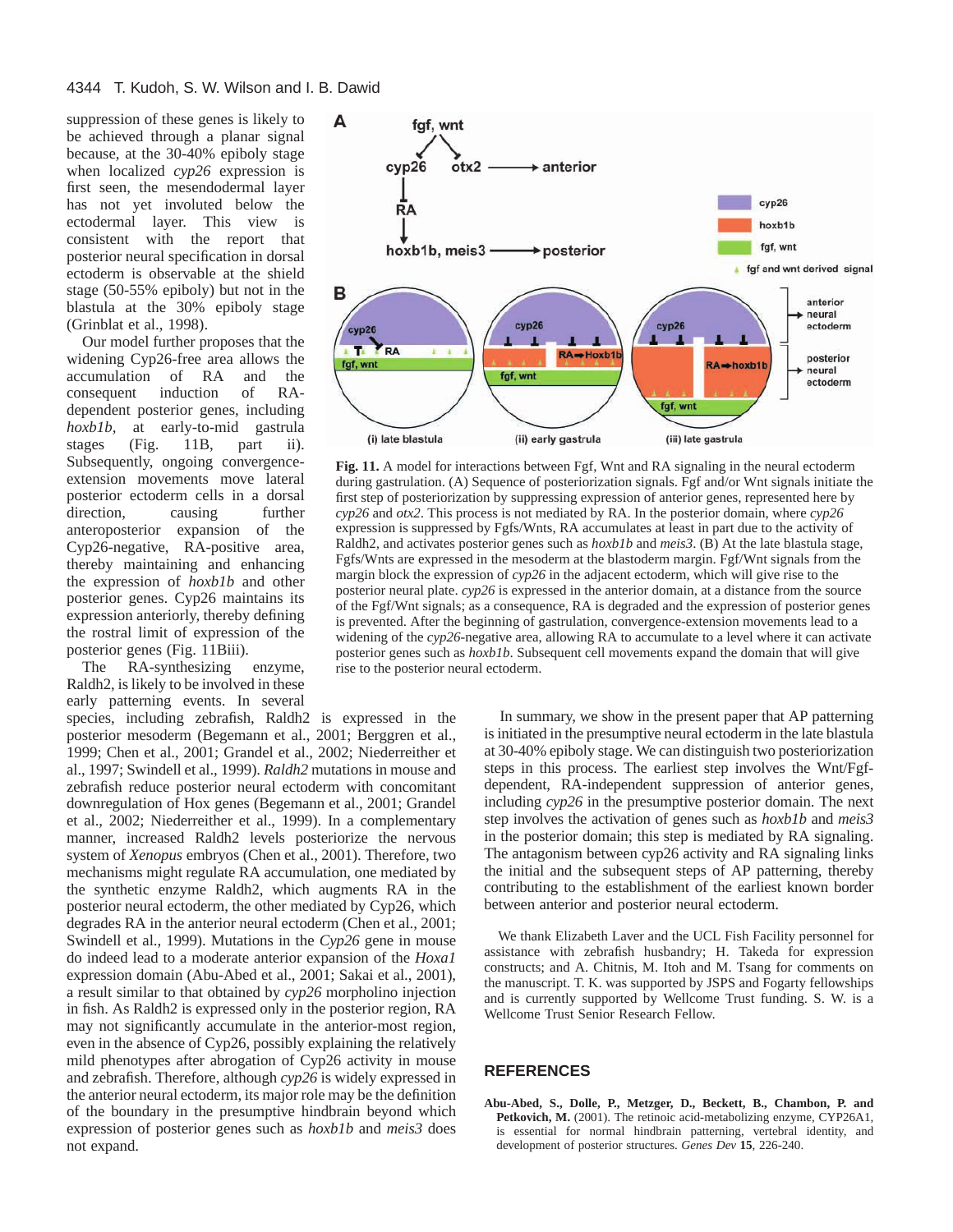suppression of these genes is likely to be achieved through a planar signal because, at the 30-40% epiboly stage when localized *cyp26* expression is first seen, the mesendodermal layer has not yet involuted below the ectodermal layer. This view is consistent with the report that posterior neural specification in dorsal ectoderm is observable at the shield stage (50-55% epiboly) but not in the blastula at the 30% epiboly stage (Grinblat et al., 1998).

Our model further proposes that the widening Cyp26-free area allows the accumulation of RA and the consequent induction of RAdependent posterior genes, including *hoxb1b,* at early-to-mid gastrula stages (Fig. 11B, part ii). Subsequently, ongoing convergenceextension movements move lateral posterior ectoderm cells in a dorsal direction, causing further anteroposterior expansion of the Cyp26-negative, RA-positive area, thereby maintaining and enhancing the expression of *hoxb1b* and other posterior genes. Cyp26 maintains its expression anteriorly, thereby defining the rostral limit of expression of the posterior genes (Fig. 11Biii).

The RA-synthesizing enzyme, Raldh2, is likely to be involved in these early patterning events. In several species, including zebrafish, Raldh2 is expressed in the posterior mesoderm (Begemann et al., 2001; Berggren et al., 1999; Chen et al., 2001; Grandel et al., 2002; Niederreither et al., 1997; Swindell et al., 1999). *Raldh2* mutations in mouse and zebrafish reduce posterior neural ectoderm with concomitant downregulation of Hox genes (Begemann et al., 2001; Grandel et al., 2002; Niederreither et al., 1999). In a complementary manner, increased Raldh2 levels posteriorize the nervous system of *Xenopus* embryos (Chen et al., 2001). Therefore, two mechanisms might regulate RA accumulation, one mediated by the synthetic enzyme Raldh2, which augments RA in the posterior neural ectoderm, the other mediated by Cyp26, which degrades RA in the anterior neural ectoderm (Chen et al., 2001; Swindell et al., 1999). Mutations in the *Cyp26* gene in mouse do indeed lead to a moderate anterior expansion of the *Hoxa1* expression domain (Abu-Abed et al., 2001; Sakai et al., 2001), a result similar to that obtained by *cyp26* morpholino injection in fish. As Raldh2 is expressed only in the posterior region, RA may not significantly accumulate in the anterior-most region, even in the absence of Cyp26, possibly explaining the relatively mild phenotypes after abrogation of Cyp26 activity in mouse and zebrafish. Therefore, although *cyp26* is widely expressed in the anterior neural ectoderm, its major role may be the definition of the boundary in the presumptive hindbrain beyond which expression of posterior genes such as *hoxb1b* and *meis3* does not expand.



**Fig. 11.** A model for interactions between Fgf, Wnt and RA signaling in the neural ectoderm during gastrulation. (A) Sequence of posteriorization signals. Fgf and/or Wnt signals initiate the first step of posteriorization by suppressing expression of anterior genes, represented here by *cyp26* and *otx2*. This process is not mediated by RA. In the posterior domain, where *cyp26* expression is suppressed by Fgfs/Wnts, RA accumulates at least in part due to the activity of Raldh2, and activates posterior genes such as *hoxb1b* and *meis3*. (B) At the late blastula stage, Fgfs/Wnts are expressed in the mesoderm at the blastoderm margin. Fgf/Wnt signals from the margin block the expression of *cyp26* in the adjacent ectoderm, which will give rise to the posterior neural plate. *cyp26* is expressed in the anterior domain, at a distance from the source of the Fgf/Wnt signals; as a consequence, RA is degraded and the expression of posterior genes is prevented. After the beginning of gastrulation, convergence-extension movements lead to a widening of the *cyp26*-negative area, allowing RA to accumulate to a level where it can activate posterior genes such as *hoxb1b*. Subsequent cell movements expand the domain that will give rise to the posterior neural ectoderm.

In summary, we show in the present paper that AP patterning is initiated in the presumptive neural ectoderm in the late blastula at 30-40% epiboly stage. We can distinguish two posteriorization steps in this process. The earliest step involves the Wnt/Fgfdependent, RA-independent suppression of anterior genes, including *cyp26* in the presumptive posterior domain. The next step involves the activation of genes such as *hoxb1b* and *meis3* in the posterior domain; this step is mediated by RA signaling. The antagonism between cyp26 activity and RA signaling links the initial and the subsequent steps of AP patterning, thereby contributing to the establishment of the earliest known border between anterior and posterior neural ectoderm.

We thank Elizabeth Laver and the UCL Fish Facility personnel for assistance with zebrafish husbandry; H. Takeda for expression constructs; and A. Chitnis, M. Itoh and M. Tsang for comments on the manuscript. T. K. was supported by JSPS and Fogarty fellowships and is currently supported by Wellcome Trust funding. S. W. is a Wellcome Trust Senior Research Fellow.

## **REFERENCES**

**Abu-Abed, S., Dolle, P., Metzger, D., Beckett, B., Chambon, P. and Petkovich, M.** (2001). The retinoic acid-metabolizing enzyme, CYP26A1, is essential for normal hindbrain patterning, vertebral identity, and development of posterior structures. *Genes Dev* **15**, 226-240.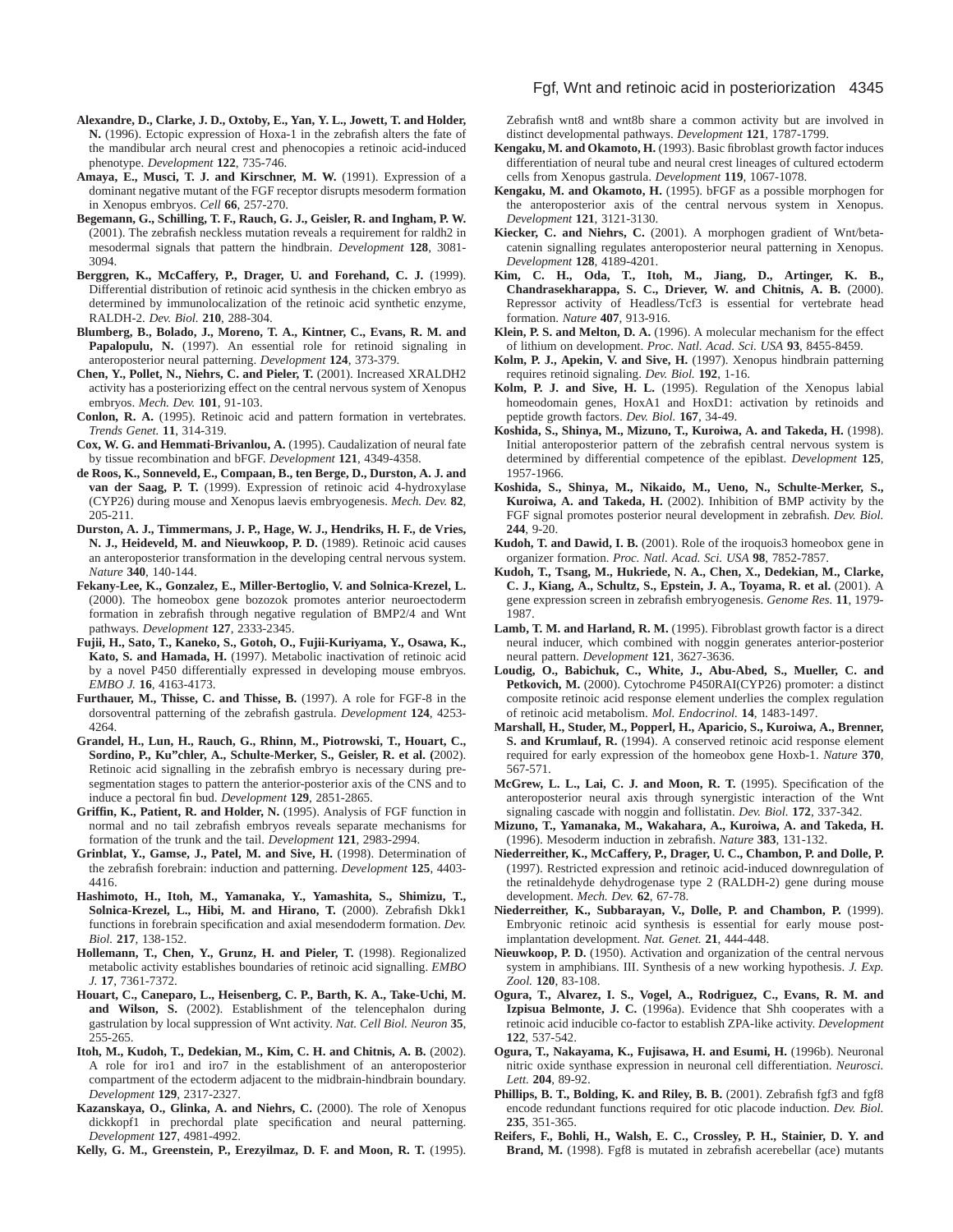- **Alexandre, D., Clarke, J. D., Oxtoby, E., Yan, Y. L., Jowett, T. and Holder, N.** (1996). Ectopic expression of Hoxa-1 in the zebrafish alters the fate of the mandibular arch neural crest and phenocopies a retinoic acid-induced phenotype. *Development* **122**, 735-746.
- **Amaya, E., Musci, T. J. and Kirschner, M. W.** (1991). Expression of a dominant negative mutant of the FGF receptor disrupts mesoderm formation in Xenopus embryos. *Cell* **66**, 257-270.
- **Begemann, G., Schilling, T. F., Rauch, G. J., Geisler, R. and Ingham, P. W.** (2001). The zebrafish neckless mutation reveals a requirement for raldh2 in mesodermal signals that pattern the hindbrain. *Development* **128**, 3081- 3094.
- **Berggren, K., McCaffery, P., Drager, U. and Forehand, C. J.** (1999). Differential distribution of retinoic acid synthesis in the chicken embryo as determined by immunolocalization of the retinoic acid synthetic enzyme, RALDH-2. *Dev. Biol.* **210**, 288-304.
- **Blumberg, B., Bolado, J., Moreno, T. A., Kintner, C., Evans, R. M. and** Papalopulu, N. (1997). An essential role for retinoid signaling in anteroposterior neural patterning. *Development* **124**, 373-379.
- **Chen, Y., Pollet, N., Niehrs, C. and Pieler, T.** (2001). Increased XRALDH2 activity has a posteriorizing effect on the central nervous system of Xenopus embryos. *Mech. Dev.* **101**, 91-103.
- **Conlon, R. A.** (1995). Retinoic acid and pattern formation in vertebrates. *Trends Genet.* **11**, 314-319.
- **Cox, W. G. and Hemmati-Brivanlou, A.** (1995). Caudalization of neural fate by tissue recombination and bFGF. *Development* **121**, 4349-4358.
- **de Roos, K., Sonneveld, E., Compaan, B., ten Berge, D., Durston, A. J. and van der Saag, P. T.** (1999). Expression of retinoic acid 4-hydroxylase (CYP26) during mouse and Xenopus laevis embryogenesis. *Mech. Dev.* **82**, 205-211.
- **Durston, A. J., Timmermans, J. P., Hage, W. J., Hendriks, H. F., de Vries, N. J., Heideveld, M. and Nieuwkoop, P. D.** (1989). Retinoic acid causes an anteroposterior transformation in the developing central nervous system. *Nature* **340**, 140-144.
- **Fekany-Lee, K., Gonzalez, E., Miller-Bertoglio, V. and Solnica-Krezel, L.** (2000). The homeobox gene bozozok promotes anterior neuroectoderm formation in zebrafish through negative regulation of BMP2/4 and Wnt pathways. *Development* **127**, 2333-2345.
- **Fujii, H., Sato, T., Kaneko, S., Gotoh, O., Fujii-Kuriyama, Y., Osawa, K., Kato, S. and Hamada, H.** (1997). Metabolic inactivation of retinoic acid by a novel P450 differentially expressed in developing mouse embryos. *EMBO J.* **16**, 4163-4173.
- **Furthauer, M., Thisse, C. and Thisse, B.** (1997). A role for FGF-8 in the dorsoventral patterning of the zebrafish gastrula. *Development* **124**, 4253- 4264.
- **Grandel, H., Lun, H., Rauch, G., Rhinn, M., Piotrowski, T., Houart, C., Sordino, P., Ku"chler, A., Schulte-Merker, S., Geisler, R. et al. (**2002). Retinoic acid signalling in the zebrafish embryo is necessary during presegmentation stages to pattern the anterior-posterior axis of the CNS and to induce a pectoral fin bud. *Development* **129**, 2851-2865.
- **Griffin, K., Patient, R. and Holder, N.** (1995). Analysis of FGF function in normal and no tail zebrafish embryos reveals separate mechanisms for formation of the trunk and the tail. *Development* **121**, 2983-2994.
- **Grinblat, Y., Gamse, J., Patel, M. and Sive, H.** (1998). Determination of the zebrafish forebrain: induction and patterning. *Development* **125**, 4403- 4416.
- **Hashimoto, H., Itoh, M., Yamanaka, Y., Yamashita, S., Shimizu, T., Solnica-Krezel, L., Hibi, M. and Hirano, T.** (2000). Zebrafish Dkk1 functions in forebrain specification and axial mesendoderm formation. *Dev. Biol.* **217**, 138-152.
- **Hollemann, T., Chen, Y., Grunz, H. and Pieler, T.** (1998). Regionalized metabolic activity establishes boundaries of retinoic acid signalling. *EMBO J.* **17**, 7361-7372.
- **Houart, C., Caneparo, L., Heisenberg, C. P., Barth, K. A., Take-Uchi, M. and Wilson, S.** (2002). Establishment of the telencephalon during gastrulation by local suppression of Wnt activity. *Nat. Cell Biol. Neuron* **35**, 255-265.
- **Itoh, M., Kudoh, T., Dedekian, M., Kim, C. H. and Chitnis, A. B.** (2002). A role for iro1 and iro7 in the establishment of an anteroposterior compartment of the ectoderm adjacent to the midbrain-hindbrain boundary. *Development* **129**, 2317-2327.
- **Kazanskaya, O., Glinka, A. and Niehrs, C.** (2000). The role of Xenopus dickkopf1 in prechordal plate specification and neural patterning. *Development* **127**, 4981-4992.
- **Kelly, G. M., Greenstein, P., Erezyilmaz, D. F. and Moon, R. T.** (1995).

#### Fgf, Wnt and retinoic acid in posteriorization 4345

Zebrafish wnt8 and wnt8b share a common activity but are involved in distinct developmental pathways. *Development* **121**, 1787-1799.

- **Kengaku, M. and Okamoto, H.** (1993). Basic fibroblast growth factor induces differentiation of neural tube and neural crest lineages of cultured ectoderm cells from Xenopus gastrula. *Development* **119**, 1067-1078.
- **Kengaku, M. and Okamoto, H.** (1995). bFGF as a possible morphogen for the anteroposterior axis of the central nervous system in Xenopus. *Development* **121**, 3121-3130.
- **Kiecker, C. and Niehrs, C.** (2001). A morphogen gradient of Wnt/betacatenin signalling regulates anteroposterior neural patterning in Xenopus. *Development* **128**, 4189-4201.
- **Kim, C. H., Oda, T., Itoh, M., Jiang, D., Artinger, K. B., Chandrasekharappa, S. C., Driever, W. and Chitnis, A. B.** (2000). Repressor activity of Headless/Tcf3 is essential for vertebrate head formation. *Nature* **407**, 913-916.
- **Klein, P. S. and Melton, D. A.** (1996). A molecular mechanism for the effect of lithium on development. *Proc. Natl. Acad. Sci. USA* **93**, 8455-8459.
- **Kolm, P. J., Apekin, V. and Sive, H.** (1997). Xenopus hindbrain patterning requires retinoid signaling. *Dev. Biol.* **192**, 1-16.
- **Kolm, P. J. and Sive, H. L.** (1995). Regulation of the Xenopus labial homeodomain genes, HoxA1 and HoxD1: activation by retinoids and peptide growth factors. *Dev. Biol.* **167**, 34-49.
- **Koshida, S., Shinya, M., Mizuno, T., Kuroiwa, A. and Takeda, H.** (1998). Initial anteroposterior pattern of the zebrafish central nervous system is determined by differential competence of the epiblast. *Development* **125**, 1957-1966.
- **Koshida, S., Shinya, M., Nikaido, M., Ueno, N., Schulte-Merker, S., Kuroiwa, A. and Takeda, H.** (2002). Inhibition of BMP activity by the FGF signal promotes posterior neural development in zebrafish. *Dev. Biol.* **244**, 9-20.
- **Kudoh, T. and Dawid, I. B.** (2001). Role of the iroquois3 homeobox gene in organizer formation. *Proc. Natl. Acad. Sci. USA* **98**, 7852-7857.
- **Kudoh, T., Tsang, M., Hukriede, N. A., Chen, X., Dedekian, M., Clarke, C. J., Kiang, A., Schultz, S., Epstein, J. A., Toyama, R. et al.** (2001). A gene expression screen in zebrafish embryogenesis. *Genome Res.* **11**, 1979- 1987.
- **Lamb, T. M. and Harland, R. M.** (1995). Fibroblast growth factor is a direct neural inducer, which combined with noggin generates anterior-posterior neural pattern. *Development* **121**, 3627-3636.
- **Loudig, O., Babichuk, C., White, J., Abu-Abed, S., Mueller, C. and Petkovich, M.** (2000). Cytochrome P450RAI(CYP26) promoter: a distinct composite retinoic acid response element underlies the complex regulation of retinoic acid metabolism. *Mol. Endocrinol.* **14**, 1483-1497.
- **Marshall, H., Studer, M., Popperl, H., Aparicio, S., Kuroiwa, A., Brenner, S. and Krumlauf, R.** (1994). A conserved retinoic acid response element required for early expression of the homeobox gene Hoxb-1. *Nature* **370**, 567-571.
- **McGrew, L. L., Lai, C. J. and Moon, R. T.** (1995). Specification of the anteroposterior neural axis through synergistic interaction of the Wnt signaling cascade with noggin and follistatin. *Dev. Biol.* **172**, 337-342.
- **Mizuno, T., Yamanaka, M., Wakahara, A., Kuroiwa, A. and Takeda, H.** (1996). Mesoderm induction in zebrafish. *Nature* **383**, 131-132.
- **Niederreither, K., McCaffery, P., Drager, U. C., Chambon, P. and Dolle, P.** (1997). Restricted expression and retinoic acid-induced downregulation of the retinaldehyde dehydrogenase type 2 (RALDH-2) gene during mouse development. *Mech. Dev.* **62**, 67-78.
- **Niederreither, K., Subbarayan, V., Dolle, P. and Chambon, P.** (1999). Embryonic retinoic acid synthesis is essential for early mouse postimplantation development. *Nat. Genet.* **21**, 444-448.
- **Nieuwkoop, P. D.** (1950). Activation and organization of the central nervous system in amphibians. III. Synthesis of a new working hypothesis. *J. Exp. Zool.* **120**, 83-108.
- **Ogura, T., Alvarez, I. S., Vogel, A., Rodriguez, C., Evans, R. M. and Izpisua Belmonte, J. C.** (1996a). Evidence that Shh cooperates with a retinoic acid inducible co-factor to establish ZPA-like activity. *Development* **122**, 537-542.
- **Ogura, T., Nakayama, K., Fujisawa, H. and Esumi, H.** (1996b). Neuronal nitric oxide synthase expression in neuronal cell differentiation. *Neurosci. Lett.* **204**, 89-92.
- Phillips, B. T., Bolding, K. and Riley, B. B. (2001). Zebrafish fgf3 and fgf8 encode redundant functions required for otic placode induction. *Dev. Biol.* **235**, 351-365.
- **Reifers, F., Bohli, H., Walsh, E. C., Crossley, P. H., Stainier, D. Y. and Brand, M.** (1998). Fgf8 is mutated in zebrafish acerebellar (ace) mutants